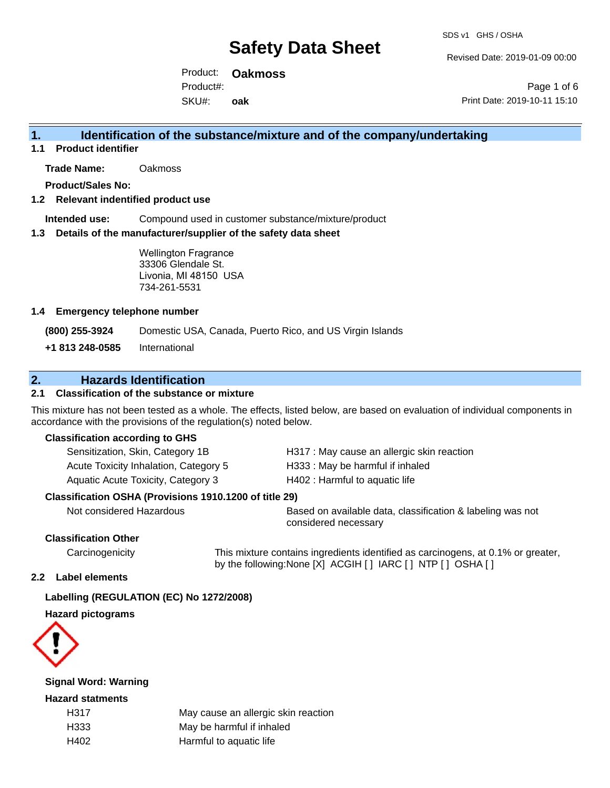Revised Date: 2019-01-09 00:00

Product: **Oakmoss** SKU#: Product#: **oak**

Page 1 of 6 Print Date: 2019-10-11 15:10

## **1. Identification of the substance/mixture and of the company/undertaking**

**1.1 Product identifier**

**Trade Name:** Oakmoss

**Product/Sales No:**

#### **1.2 Relevant indentified product use**

**Intended use:** Compound used in customer substance/mixture/product

#### **1.3 Details of the manufacturer/supplier of the safety data sheet**

Wellington Fragrance 33306 Glendale St. Livonia, MI 48150 USA 734-261-5531

#### **1.4 Emergency telephone number**

**(800) 255-3924** Domestic USA, Canada, Puerto Rico, and US Virgin Islands

**+1 813 248-0585** International

### **2. Hazards Identification**

### **2.1 Classification of the substance or mixture**

This mixture has not been tested as a whole. The effects, listed below, are based on evaluation of individual components in accordance with the provisions of the regulation(s) noted below.

#### **Classification according to GHS**

| Sensitization, Skin, Category 1B      | H317 : May cause an allergic skin reaction |
|---------------------------------------|--------------------------------------------|
| Acute Toxicity Inhalation, Category 5 | H333: May be harmful if inhaled            |
| Aquatic Acute Toxicity, Category 3    | H402 : Harmful to aquatic life             |

#### **Classification OSHA (Provisions 1910.1200 of title 29)**

Not considered Hazardous Based on available data, classification & labeling was not considered necessary

#### **Classification Other**

Carcinogenicity This mixture contains ingredients identified as carcinogens, at 0.1% or greater, by the following:None [X] ACGIH [ ] IARC [ ] NTP [ ] OSHA [ ]

#### **2.2 Label elements**

#### **Labelling (REGULATION (EC) No 1272/2008)**

**Hazard pictograms**



#### **Signal Word: Warning**

#### **Hazard statments**

H317 May cause an allergic skin reaction H333 May be harmful if inhaled H402 Harmful to aquatic life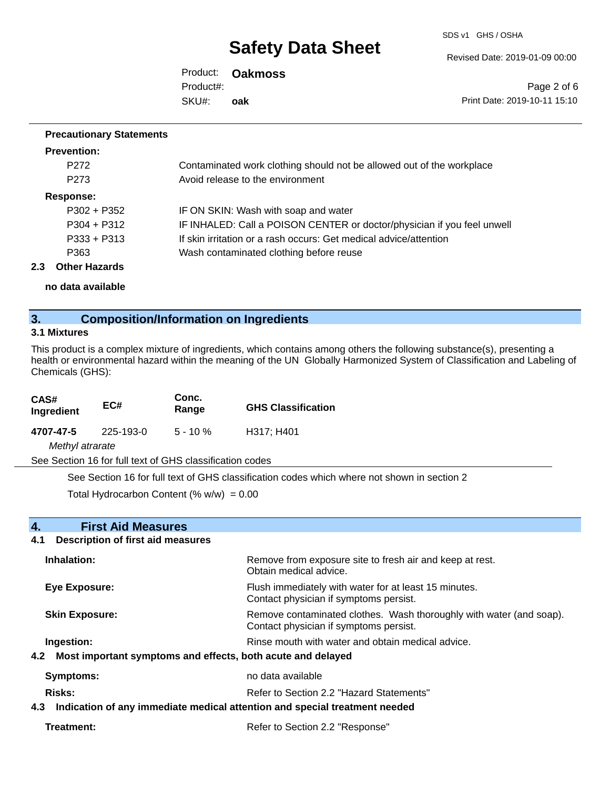SDS v1 GHS / OSHA

Revised Date: 2019-01-09 00:00

Product: **Oakmoss** SKU#: Product#: **oak**

Page 2 of 6 Print Date: 2019-10-11 15:10

#### **Precautionary Statements**

| <b>Prevention:</b> |                                                                         |
|--------------------|-------------------------------------------------------------------------|
| P <sub>272</sub>   | Contaminated work clothing should not be allowed out of the workplace   |
| P <sub>273</sub>   | Avoid release to the environment                                        |
| Response:          |                                                                         |
| $P302 + P352$      | IF ON SKIN: Wash with soap and water                                    |
| $P304 + P312$      | IF INHALED: Call a POISON CENTER or doctor/physician if you feel unwell |
| $P333 + P313$      | If skin irritation or a rash occurs: Get medical advice/attention       |
| P363               | Wash contaminated clothing before reuse                                 |
|                    |                                                                         |

**2.3 Other Hazards**

**no data available**

## **3. Composition/Information on Ingredients**

#### **3.1 Mixtures**

This product is a complex mixture of ingredients, which contains among others the following substance(s), presenting a health or environmental hazard within the meaning of the UN Globally Harmonized System of Classification and Labeling of Chemicals (GHS):

| CAS#<br>Ingredient | EC#                                                      | Conc.<br>Range | <b>GHS Classification</b> |
|--------------------|----------------------------------------------------------|----------------|---------------------------|
| 4707-47-5          | 225-193-0                                                | $5 - 10 \%$    | H317; H401                |
| Methyl atrarate    |                                                          |                |                           |
|                    | See Section 16 for full text of GHS classification codes |                |                           |

See Section 16 for full text of GHS classification codes which where not shown in section 2

Total Hydrocarbon Content (%  $w/w$ ) = 0.00

| <b>First Aid Measures</b><br>4.                                                   |                                                                                                               |  |
|-----------------------------------------------------------------------------------|---------------------------------------------------------------------------------------------------------------|--|
| 4.1<br><b>Description of first aid measures</b>                                   |                                                                                                               |  |
| Inhalation:                                                                       | Remove from exposure site to fresh air and keep at rest.<br>Obtain medical advice.                            |  |
| Eye Exposure:                                                                     | Flush immediately with water for at least 15 minutes.<br>Contact physician if symptoms persist.               |  |
| <b>Skin Exposure:</b>                                                             | Remove contaminated clothes. Wash thoroughly with water (and soap).<br>Contact physician if symptoms persist. |  |
| Ingestion:                                                                        | Rinse mouth with water and obtain medical advice.                                                             |  |
| Most important symptoms and effects, both acute and delayed<br>4.2                |                                                                                                               |  |
| Symptoms:                                                                         | no data available                                                                                             |  |
| <b>Risks:</b>                                                                     | Refer to Section 2.2 "Hazard Statements"                                                                      |  |
| Indication of any immediate medical attention and special treatment needed<br>4.3 |                                                                                                               |  |
| Treatment:                                                                        | Refer to Section 2.2 "Response"                                                                               |  |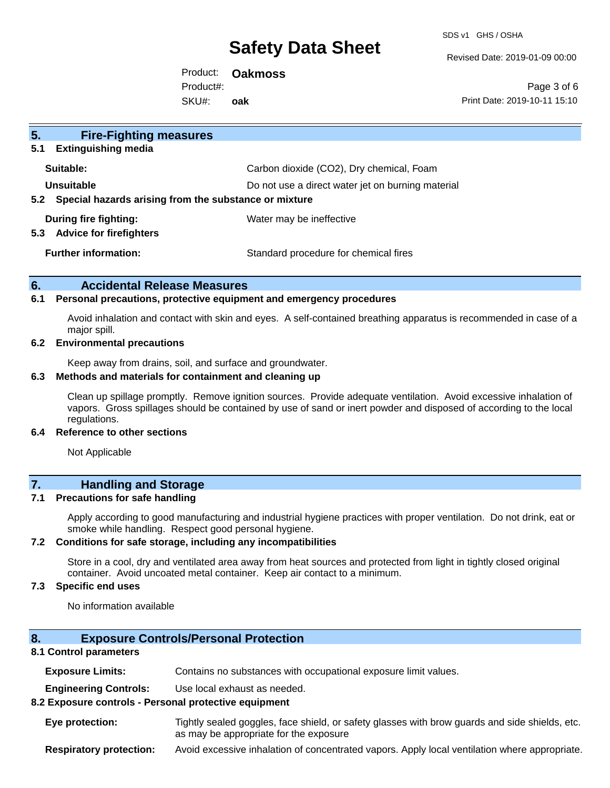SDS v1 GHS / OSHA

Revised Date: 2019-01-09 00:00

Product: **Oakmoss** SKU#: Product#: **oak**

Page 3 of 6 Print Date: 2019-10-11 15:10

| 5 <sub>1</sub><br><b>Fire-Fighting measures</b>                        |                                                   |
|------------------------------------------------------------------------|---------------------------------------------------|
| <b>Extinguishing media</b><br>5.1                                      |                                                   |
| Suitable:                                                              | Carbon dioxide (CO2), Dry chemical, Foam          |
| Unsuitable                                                             | Do not use a direct water jet on burning material |
| Special hazards arising from the substance or mixture<br>$5.2^{\circ}$ |                                                   |
| During fire fighting:<br><b>Advice for firefighters</b><br>5.3         | Water may be ineffective                          |
| <b>Further information:</b>                                            | Standard procedure for chemical fires             |

#### **6. Accidental Release Measures**

#### **6.1 Personal precautions, protective equipment and emergency procedures**

Avoid inhalation and contact with skin and eyes. A self-contained breathing apparatus is recommended in case of a major spill.

#### **6.2 Environmental precautions**

Keep away from drains, soil, and surface and groundwater.

#### **6.3 Methods and materials for containment and cleaning up**

Clean up spillage promptly. Remove ignition sources. Provide adequate ventilation. Avoid excessive inhalation of vapors. Gross spillages should be contained by use of sand or inert powder and disposed of according to the local regulations.

#### **6.4 Reference to other sections**

Not Applicable

### **7. Handling and Storage**

#### **7.1 Precautions for safe handling**

Apply according to good manufacturing and industrial hygiene practices with proper ventilation. Do not drink, eat or smoke while handling. Respect good personal hygiene.

#### **7.2 Conditions for safe storage, including any incompatibilities**

Store in a cool, dry and ventilated area away from heat sources and protected from light in tightly closed original container. Avoid uncoated metal container. Keep air contact to a minimum.

#### **7.3 Specific end uses**

No information available

#### **8. Exposure Controls/Personal Protection**

#### **8.1 Control parameters**

**Exposure Limits:** Contains no substances with occupational exposure limit values.

**Engineering Controls:** Use local exhaust as needed.

#### **8.2 Exposure controls - Personal protective equipment**

**Eye protection:** Tightly sealed goggles, face shield, or safety glasses with brow guards and side shields, etc. as may be appropriate for the exposure

**Respiratory protection:** Avoid excessive inhalation of concentrated vapors. Apply local ventilation where appropriate.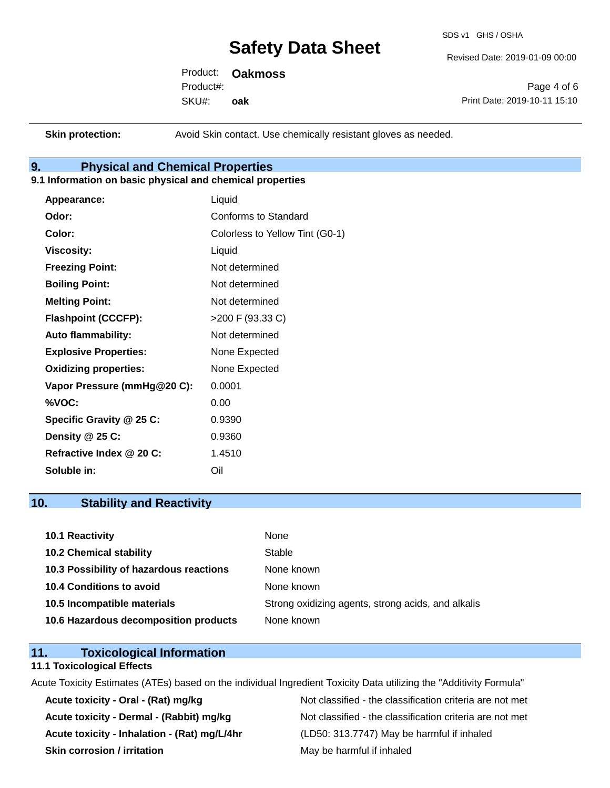SDS v1 GHS / OSHA

Revised Date: 2019-01-09 00:00

Product: **Oakmoss** SKU#: Product#: **oak**

Page 4 of 6 Print Date: 2019-10-11 15:10

**Skin protection:** Avoid Skin contact. Use chemically resistant gloves as needed.

## **9. Physical and Chemical Properties**

#### **9.1 Information on basic physical and chemical properties**

| Appearance:                  | Liquid                          |
|------------------------------|---------------------------------|
| Odor:                        | <b>Conforms to Standard</b>     |
| Color:                       | Colorless to Yellow Tint (G0-1) |
| <b>Viscosity:</b>            | Liquid                          |
| <b>Freezing Point:</b>       | Not determined                  |
| <b>Boiling Point:</b>        | Not determined                  |
| <b>Melting Point:</b>        | Not determined                  |
| <b>Flashpoint (CCCFP):</b>   | >200 F (93.33 C)                |
| <b>Auto flammability:</b>    | Not determined                  |
| <b>Explosive Properties:</b> | None Expected                   |
| <b>Oxidizing properties:</b> | None Expected                   |
| Vapor Pressure (mmHg@20 C):  | 0.0001                          |
| %VOC:                        | 0.00                            |
| Specific Gravity @ 25 C:     | 0.9390                          |
| Density @ 25 C:              | 0.9360                          |
| Refractive Index @ 20 C:     | 1.4510                          |
| Soluble in:                  | Oil                             |

### **10. Stability and Reactivity**

| 10.1 Reactivity                         | None                                               |
|-----------------------------------------|----------------------------------------------------|
| <b>10.2 Chemical stability</b>          | Stable                                             |
| 10.3 Possibility of hazardous reactions | None known                                         |
| 10.4 Conditions to avoid                | None known                                         |
| 10.5 Incompatible materials             | Strong oxidizing agents, strong acids, and alkalis |
| 10.6 Hazardous decomposition products   | None known                                         |

## **11. Toxicological Information**

#### **11.1 Toxicological Effects**

Acute Toxicity Estimates (ATEs) based on the individual Ingredient Toxicity Data utilizing the "Additivity Formula"

**Acute toxicity - Inhalation - (Rat) mg/L/4hr** (LD50: 313.7747) May be harmful if inhaled **Skin corrosion / irritation** May be harmful if inhaled

Acute toxicity - Oral - (Rat) mg/kg<br>
Not classified - the classification criteria are not met Acute toxicity - Dermal - (Rabbit) mg/kg<br>Not classified - the classification criteria are not met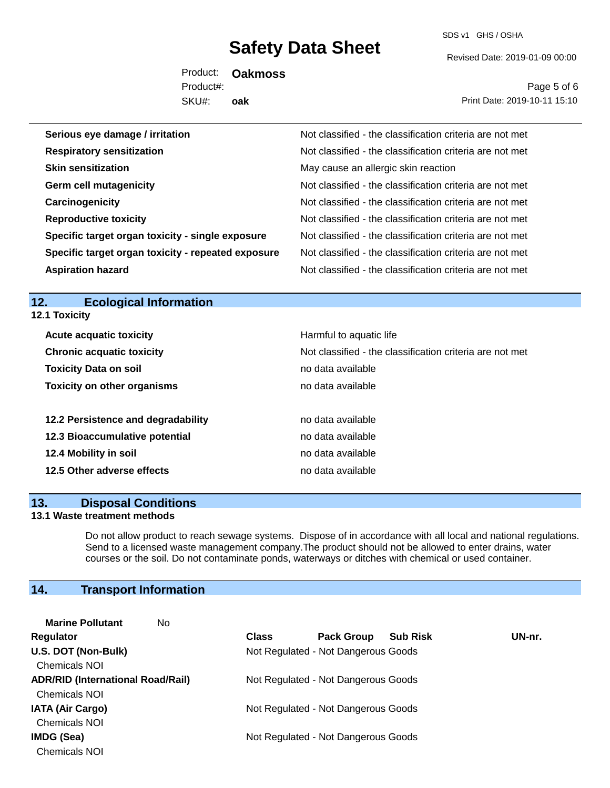SDS v1 GHS / OSHA

Revised Date: 2019-01-09 00:00

Product: **Oakmoss** SKU#: Product#: **oak**

Page 5 of 6 Print Date: 2019-10-11 15:10

| Serious eye damage / irritation                    | Not classified - the classification criteria are not met |
|----------------------------------------------------|----------------------------------------------------------|
| <b>Respiratory sensitization</b>                   | Not classified - the classification criteria are not met |
| <b>Skin sensitization</b>                          | May cause an allergic skin reaction                      |
| <b>Germ cell mutagenicity</b>                      | Not classified - the classification criteria are not met |
| Carcinogenicity                                    | Not classified - the classification criteria are not met |
| <b>Reproductive toxicity</b>                       | Not classified - the classification criteria are not met |
| Specific target organ toxicity - single exposure   | Not classified - the classification criteria are not met |
| Specific target organ toxicity - repeated exposure | Not classified - the classification criteria are not met |
| <b>Aspiration hazard</b>                           | Not classified - the classification criteria are not met |

## **12. Ecological Information**

**12.1 Toxicity**

| <b>Acute acquatic toxicity</b>     | Harmful to aquatic life                                  |
|------------------------------------|----------------------------------------------------------|
| <b>Chronic acquatic toxicity</b>   | Not classified - the classification criteria are not met |
| <b>Toxicity Data on soil</b>       | no data available                                        |
| <b>Toxicity on other organisms</b> | no data available                                        |
|                                    |                                                          |
| 12.2 Persistence and degradability | no data available                                        |
| 12.3 Bioaccumulative potential     | no data available                                        |
| 12.4 Mobility in soil              | no data available                                        |
| 12.5 Other adverse effects         | no data available                                        |
|                                    |                                                          |

### **13. Disposal Conditions**

#### **13.1 Waste treatment methods**

Do not allow product to reach sewage systems. Dispose of in accordance with all local and national regulations. Send to a licensed waste management company.The product should not be allowed to enter drains, water courses or the soil. Do not contaminate ponds, waterways or ditches with chemical or used container.

## **14. Transport Information**

| <b>Marine Pollutant</b><br>No            |              |                                     |                 |        |
|------------------------------------------|--------------|-------------------------------------|-----------------|--------|
| <b>Regulator</b>                         | <b>Class</b> | <b>Pack Group</b>                   | <b>Sub Risk</b> | UN-nr. |
| U.S. DOT (Non-Bulk)                      |              | Not Regulated - Not Dangerous Goods |                 |        |
| <b>Chemicals NOI</b>                     |              |                                     |                 |        |
| <b>ADR/RID (International Road/Rail)</b> |              | Not Regulated - Not Dangerous Goods |                 |        |
| <b>Chemicals NOI</b>                     |              |                                     |                 |        |
| <b>IATA (Air Cargo)</b>                  |              | Not Regulated - Not Dangerous Goods |                 |        |
| <b>Chemicals NOI</b>                     |              |                                     |                 |        |
| IMDG (Sea)                               |              | Not Regulated - Not Dangerous Goods |                 |        |
| <b>Chemicals NOI</b>                     |              |                                     |                 |        |